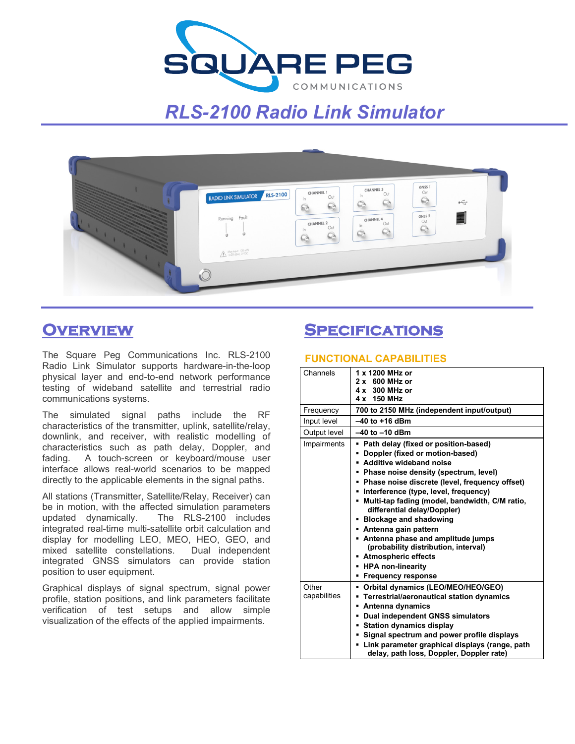

# *RLS-2100 Radio Link Simulator*



# **Overview**

The Square Peg Communications Inc. RLS-2100 Radio Link Simulator supports hardware-in-the-loop physical layer and end-to-end network performance testing of wideband satellite and terrestrial radio communications systems.

The simulated signal paths include the RF characteristics of the transmitter, uplink, satellite/relay, downlink, and receiver, with realistic modelling of characteristics such as path delay, Doppler, and fading. A touch-screen or keyboard/mouse user interface allows real-world scenarios to be mapped directly to the applicable elements in the signal paths.

All stations (Transmitter, Satellite/Relay, Receiver) can be in motion, with the affected simulation parameters updated dynamically. The RLS-2100 includes integrated real-time multi-satellite orbit calculation and display for modelling LEO, MEO, HEO, GEO, and mixed satellite constellations. Dual independent integrated GNSS simulators can provide station position to user equipment.

Graphical displays of signal spectrum, signal power profile, station positions, and link parameters facilitate verification of test setups and allow simple visualization of the effects of the applied impairments.

## **Specifications**

### **FUNCTIONAL CAPABILITIES**

| Channels              | 1 x 1200 MHz or<br>$2 \times 600$ MHz or<br>$4 \times 300$ MHz or                                                                                                                                                                                                                                                                                                                                                                                                                                                                                    |
|-----------------------|------------------------------------------------------------------------------------------------------------------------------------------------------------------------------------------------------------------------------------------------------------------------------------------------------------------------------------------------------------------------------------------------------------------------------------------------------------------------------------------------------------------------------------------------------|
|                       | 4 x 150 MHz                                                                                                                                                                                                                                                                                                                                                                                                                                                                                                                                          |
| Frequency             | 700 to 2150 MHz (independent input/output)                                                                                                                                                                                                                                                                                                                                                                                                                                                                                                           |
| Input level           | $-40$ to $+16$ dBm                                                                                                                                                                                                                                                                                                                                                                                                                                                                                                                                   |
| Output level          | $-40$ to $-10$ dBm                                                                                                                                                                                                                                                                                                                                                                                                                                                                                                                                   |
| Impairments           | • Path delay (fixed or position-based)<br>Doppler (fixed or motion-based)<br>Additive wideband noise<br>Phase noise density (spectrum, level)<br>• Phase noise discrete (level, frequency offset)<br>• Interference (type, level, frequency)<br>• Multi-tap fading (model, bandwidth, C/M ratio,<br>differential delay/Doppler)<br>• Blockage and shadowing<br>Antenna gain pattern<br>• Antenna phase and amplitude jumps<br>(probability distribution, interval)<br>■ Atmospheric effects<br><b>HPA non-linearity</b><br><b>Frequency response</b> |
| Other<br>capabilities | Orbital dynamics (LEO/MEO/HEO/GEO)<br>Terrestrial/aeronautical station dynamics<br>Antenna dynamics<br>Dual independent GNSS simulators<br><b>Station dynamics display</b><br>Signal spectrum and power profile displays                                                                                                                                                                                                                                                                                                                             |
|                       | Link parameter graphical displays (range, path<br>delay, path loss, Doppler, Doppler rate)                                                                                                                                                                                                                                                                                                                                                                                                                                                           |